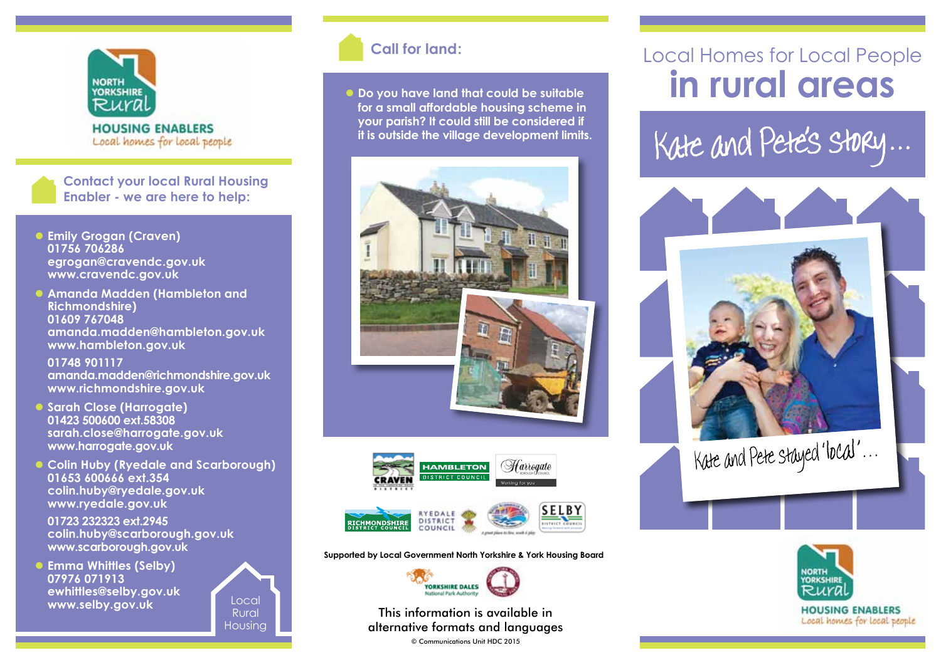

**HOUSING ENABLERS** Local homes for local people

**Contact your local Rural Housing Enabler - we are here to help:**

- **Emily Grogan (Craven) 01756 706286 egrogan@cravendc.gov.uk www.cravendc.gov.uk**
- **Amanda Madden (Hambleton and Richmondshire) 01609 767048 amanda.madden@hambleton.gov.uk www.hambleton.gov.uk**

 **01748 901117 amanda.madden@richmondshire.gov.uk www.richmondshire.gov.uk**

- **C** Sarah Close (Harrogate) **01423 500600 ext.58308 sarah.close@harrogate.gov.uk www.harrogate.gov.uk**
- **Colin Huby (Ryedale and Scarborough) 01653 600666 ext.354 colin.huby@ryedale.gov.uk www.ryedale.gov.uk**

 **01723 232323 ext.2945 colin.huby@scarborough.gov.uk www.scarborough.gov.uk**

**Emma Whittles (Selby) 07976 071913 ewhittles@selby.gov.uk www.selby.gov.uk**



### **Call for land:**

 $\bullet$  Do you have land that could be suitable **for a small affordable housing scheme in your parish? It could still be considered if it is outside the village development limits.**





**Supported by Local Government North Yorkshire & York Housing Board**



This information is available in alternative formats and languages

© Communications Unit HDC 2015

### Local Homes for Local People **in rural areas**

Kate and Pete's story...